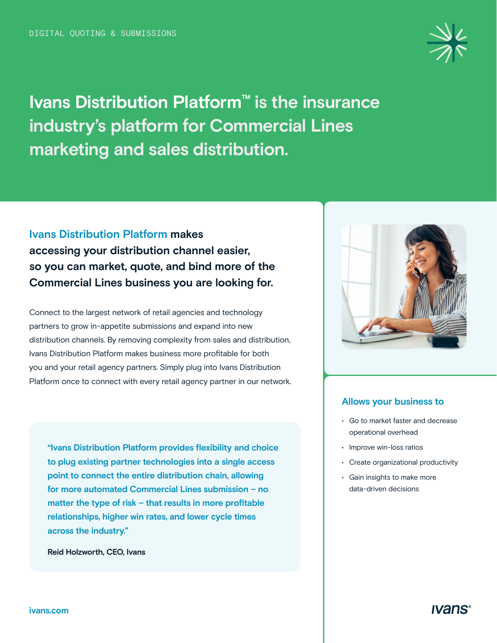

**Ivans Distribution Platform™ is the insurance industry's platform for Commercial Lines marketing and sales distribution.** 

## **Ivans Distribution Platform makes accessing your distribution channel easier, so you can market, quote, and bind more of the Commercial Lines business you are looking for.**

Connect to the largest network of retail agencies and technology partners to grow in-appetite submissions and expand into new distribution channels. By removing complexity from sales and distribution, Ivans Distribution Platform makes business more profitable for both you and your retail agency partners. Simply plug into Ivans Distribution Platform once to connect with every retail agency partner in our network.

**"Ivans Distribution Platform provides flexibility and choice to plug existing partner technologies into a single access point to connect the entire distribution chain, allowing for more automated Commercial Lines submission – no matter the type of risk – that results in more profitable relationships, higher win rates, and lower cycle times across the industry."**

**Reid Holzworth, CEO, Ivans**



#### **Allows your business to**

- Go to market faster and decrease operational overhead
- Improve win-loss ratios
- Create organizational productivity
- Gain insights to make more data-driven decisions